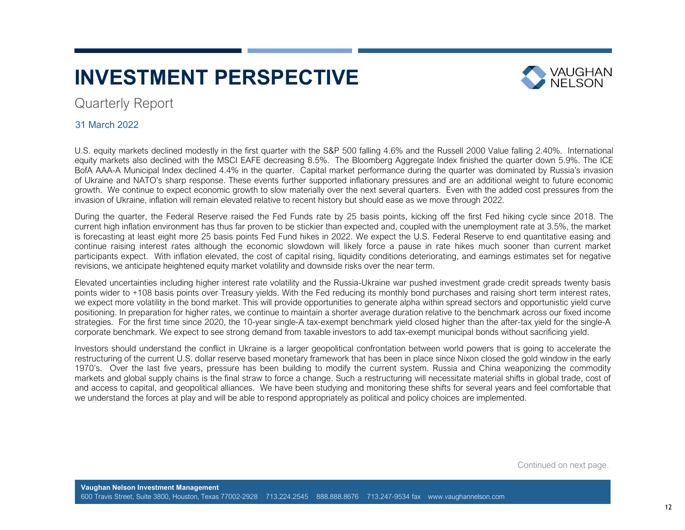# **INVESTMENT PERSPECTIVE**



### Quarterly Report

### 31 March 2022

U.S. equity markets declined modestly in the first quarter with the S&P 500 falling 4.6% and the Russell 2000 Value falling 2.40%. International equity markets also declined with the MSCI EAFE decreasing 8.5%. The Bloomberg Aggregate Index finished the quarter down 5.9%. The ICE BofA AAA-A Municipal Index declined 4.4% in the quarter. Capital market performance during the quarter was dominated by Russia's invasion of Ukraine and NATO's sharp response. These events further supported inflationary pressures and are an additional weight to future economic growth. We continue to expect economic growth to slow materially over the next several quarters. Even with the added cost pressures from the invasion of Ukraine, inflation will remain elevated relative to recent history but should ease as we move through 2022.

During the quarter, the Federal Reserve raised the Fed Funds rate by 25 basis points, kicking off the first Fed hiking cycle since 2018. The current high inflation environment has thus far proven to be stickier than expected and, coupled with the unemployment rate at 3.5%, the market is forecasting at least eight more 25 basis points Fed Fund hikes in 2022. We expect the U.S. Federal Reserve to end quantitative easing and continue raising interest rates although the economic slowdown will likely force a pause in rate hikes much sooner than current market participants expect. With inflation elevated, the cost of capital rising, liquidity conditions deteriorating, and earnings estimates set for negative revisions, we anticipate heightened equity market volatility and downside risks over the near term.

Elevated uncertainties including higher interest rate volatility and the Russia-Ukraine war pushed investment grade credit spreads twenty basis points wider to +108 basis points over Treasury yields. With the Fed reducing its monthly bond purchases and raising short term interest rates, we expect more volatility in the bond market. This will provide opportunities to generate alpha within spread sectors and opportunistic yield curve positioning. In preparation for higher rates, we continue to maintain a shorter average duration relative to the benchmark across our fixed income strategies. For the first time since 2020, the 10-year single-A tax-exempt benchmark yield closed higher than the after-tax yield for the single-A corporate benchmark. We expect to see strong demand from taxable investors to add tax-exempt municipal bonds without sacrificing yield.

Investors should understand the conflict in Ukraine is a larger geopolitical confrontation between world powers that is going to accelerate the restructuring of the current U.S. dollar reserve based monetary framework that has been in place since Nixon closed the gold window in the early 1970's. Over the last five years, pressure has been building to modify the current system. Russia and China weaponizing the commodity markets and global supply chains is the final straw to force a change. Such a restructuring will necessitate material shifts in global trade, cost of and access to capital, and geopolitical alliances. We have been studying and monitoring these shifts for several years and feel comfortable that we understand the forces at play and will be able to respond appropriately as political and policy choices are implemented.

Continued on next page.